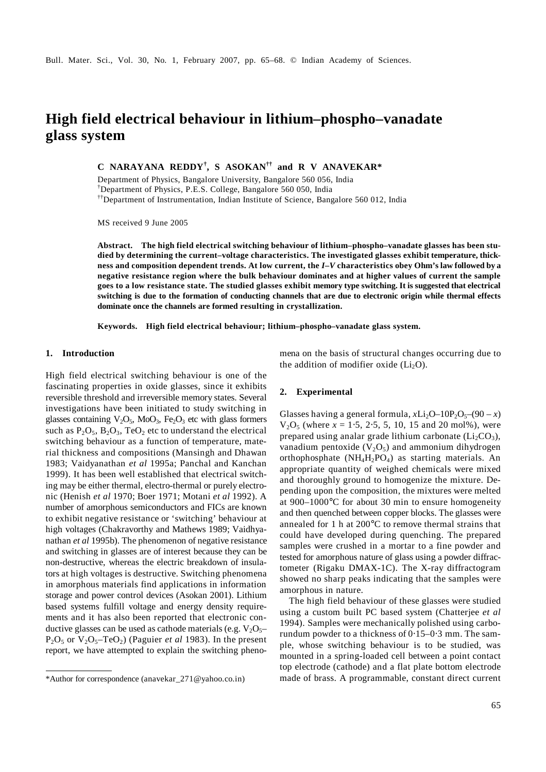# **High field electrical behaviour in lithium–phospho–vanadate glass system**

**C NARAYANA REDDY† , S ASOKAN†† and R V ANAVEKAR\*** 

Department of Physics, Bangalore University, Bangalore 560 056, India

† Department of Physics, P.E.S. College, Bangalore 560 050, India

††Department of Instrumentation, Indian Institute of Science, Bangalore 560 012, India

MS received 9 June 2005

**Abstract. The high field electrical switching behaviour of lithium–phospho–vanadate glasses has been studied by determining the current–voltage characteristics. The investigated glasses exhibit temperature, thickness and composition dependent trends. At low current, the** *I***–***V* **characteristics obey Ohm's law followed by a negative resistance region where the bulk behaviour dominates and at higher values of current the sample goes to a low resistance state. The studied glasses exhibit memory type switching. It is suggested that electrical switching is due to the formation of conducting channels that are due to electronic origin while thermal effects dominate once the channels are formed resulting in crystallization.** 

**Keywords. High field electrical behaviour; lithium–phospho–vanadate glass system.** 

### **1. Introduction**

High field electrical switching behaviour is one of the fascinating properties in oxide glasses, since it exhibits reversible threshold and irreversible memory states. Several investigations have been initiated to study switching in glasses containing  $V_2O_5$ , MoO<sub>3</sub>, Fe<sub>2</sub>O<sub>3</sub> etc with glass formers such as  $P_2O_5$ ,  $B_2O_3$ , TeO<sub>2</sub> etc to understand the electrical switching behaviour as a function of temperature, material thickness and compositions (Mansingh and Dhawan 1983; Vaidyanathan *et al* 1995a; Panchal and Kanchan 1999). It has been well established that electrical switching may be either thermal, electro-thermal or purely electronic (Henish *et al* 1970; Boer 1971; Motani *et al* 1992). A number of amorphous semiconductors and FICs are known to exhibit negative resistance or 'switching' behaviour at high voltages (Chakravorthy and Mathews 1989; Vaidhyanathan *et al* 1995b). The phenomenon of negative resistance and switching in glasses are of interest because they can be non-destructive, whereas the electric breakdown of insulators at high voltages is destructive. Switching phenomena in amorphous materials find applications in information storage and power control devices (Asokan 2001). Lithium based systems fulfill voltage and energy density requirements and it has also been reported that electronic conductive glasses can be used as cathode materials (e.g.  $V_2O_5$ –  $P_2O_5$  or  $V_2O_5$ –TeO<sub>2</sub>) (Paguier *et al* 1983). In the present report, we have attempted to explain the switching phenomena on the basis of structural changes occurring due to the addition of modifier oxide  $(Li<sub>2</sub>O)$ .

## **2. Experimental**

Glasses having a general formula,  $xLi_2O-10P_2O_5-(90-x)$ V2O5 (where *x* = 1⋅5, 2⋅5, 5, 10, 15 and 20 mol%), were prepared using analar grade lithium carbonate  $(Li<sub>2</sub>CO<sub>3</sub>)$ , vanadium pentoxide  $(V_2O_5)$  and ammonium dihydrogen orthophosphate  $(NH_4H_2PO_4)$  as starting materials. An appropriate quantity of weighed chemicals were mixed and thoroughly ground to homogenize the mixture. Depending upon the composition, the mixtures were melted at 900–1000°C for about 30 min to ensure homogeneity and then quenched between copper blocks. The glasses were annealed for 1 h at 200°C to remove thermal strains that could have developed during quenching. The prepared samples were crushed in a mortar to a fine powder and tested for amorphous nature of glass using a powder diffractometer (Rigaku DMAX-1C). The X-ray diffractogram showed no sharp peaks indicating that the samples were amorphous in nature.

 The high field behaviour of these glasses were studied using a custom built PC based system (Chatterjee *et al* 1994). Samples were mechanically polished using carborundum powder to a thickness of 0⋅15–0⋅3 mm. The sample, whose switching behaviour is to be studied, was mounted in a spring-loaded cell between a point contact top electrode (cathode) and a flat plate bottom electrode \*Author for correspondence (anavekar\_271@yahoo.co.in) made of brass. A programmable, constant direct current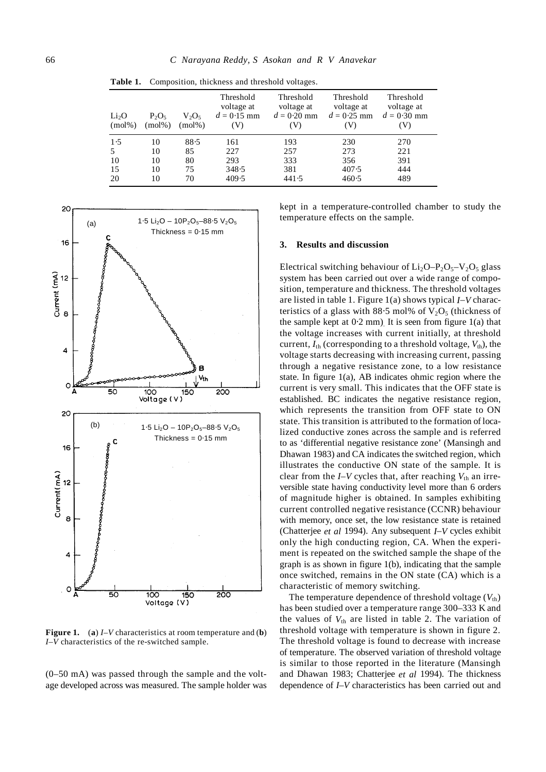| Li <sub>2</sub> O<br>$(mol\%)$ | $P_2O_5$<br>$(mod\%)$ | $V_2O_5$<br>$(mol\%)$ | Threshold<br>voltage at<br>$d = 0.15$ mm<br>(V) | Threshold<br>voltage at<br>$d = 0.20$ mm<br>(V) | Threshold<br>voltage at<br>$d = 0.25$ mm<br>(V) | Threshold<br>voltage at<br>$d = 0.30$ mm<br>V) |
|--------------------------------|-----------------------|-----------------------|-------------------------------------------------|-------------------------------------------------|-------------------------------------------------|------------------------------------------------|
| 1.5                            | 10                    | 88.5                  | 161                                             | 193                                             | 230                                             | 270                                            |
| 5                              | 10                    | 85                    | 227                                             | 257                                             | 273                                             | 221                                            |
| 10                             | 10                    | 80                    | 293                                             | 333                                             | 356                                             | 391                                            |
| 15                             | 10                    | 75                    | 348.5                                           | 381                                             | 407.5                                           | 444                                            |
| 20                             | 10                    | 70                    | 409.5                                           | 441.5                                           | 460.5                                           | 489                                            |

**Table 1.** Composition, thickness and threshold voltages.



**Figure 1.** (**a**) *I*–*V* characteristics at room temperature and (**b**) *I*–*V* characteristics of the re-switched sample.

(0–50 mA) was passed through the sample and the voltage developed across was measured. The sample holder was kept in a temperature-controlled chamber to study the temperature effects on the sample.

# **3. Results and discussion**

Electrical switching behaviour of  $Li_2O-P_2O_5-V_2O_5$  glass system has been carried out over a wide range of composition, temperature and thickness. The threshold voltages are listed in table 1. Figure 1(a) shows typical *I*–*V* characteristics of a glass with 88⋅5 mol% of  $V_2O_5$  (thickness of the sample kept at  $0.2$  mm). It is seen from figure  $1(a)$  that the voltage increases with current initially, at threshold current,  $I_{\text{th}}$  (corresponding to a threshold voltage,  $V_{\text{th}}$ ), the voltage starts decreasing with increasing current, passing through a negative resistance zone, to a low resistance state. In figure 1(a), AB indicates ohmic region where the current is very small. This indicates that the OFF state is established. BC indicates the negative resistance region, which represents the transition from OFF state to ON state. This transition is attributed to the formation of localized conductive zones across the sample and is referred to as 'differential negative resistance zone' (Mansingh and Dhawan 1983) and CA indicates the switched region, which illustrates the conductive ON state of the sample. It is clear from the  $I-V$  cycles that, after reaching  $V_{th}$  an irreversible state having conductivity level more than 6 orders of magnitude higher is obtained. In samples exhibiting current controlled negative resistance (CCNR) behaviour with memory, once set, the low resistance state is retained (Chatterjee *et al* 1994). Any subsequent *I*–*V* cycles exhibit only the high conducting region, CA. When the experiment is repeated on the switched sample the shape of the graph is as shown in figure 1(b), indicating that the sample once switched, remains in the ON state (CA) which is a characteristic of memory switching.

The temperature dependence of threshold voltage  $(V_{th})$ has been studied over a temperature range 300–333 K and the values of  $V_{th}$  are listed in table 2. The variation of threshold voltage with temperature is shown in figure 2. The threshold voltage is found to decrease with increase of temperature. The observed variation of threshold voltage is similar to those reported in the literature (Mansingh and Dhawan 1983; Chatterjee *et al* 1994). The thickness dependence of *I*–*V* characteristics has been carried out and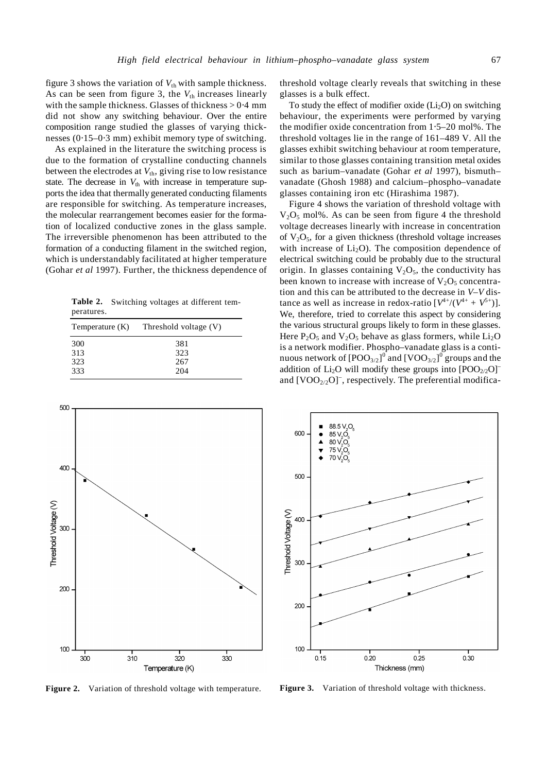figure 3 shows the variation of  $V_{th}$  with sample thickness. As can be seen from figure 3, the  $V_{th}$  increases linearly with the sample thickness. Glasses of thickness > 0⋅4 mm did not show any switching behaviour. Over the entire composition range studied the glasses of varying thicknesses (0⋅15–0⋅3 mm) exhibit memory type of switching.

 As explained in the literature the switching process is due to the formation of crystalline conducting channels between the electrodes at  $V_{th}$ , giving rise to low resistance state. The decrease in  $V_{th}$  with increase in temperature supports the idea that thermally generated conducting filaments are responsible for switching. As temperature increases, the molecular rearrangement becomes easier for the formation of localized conductive zones in the glass sample. The irreversible phenomenon has been attributed to the formation of a conducting filament in the switched region, which is understandably facilitated at higher temperature (Gohar *et al* 1997). Further, the thickness dependence of

**Table 2.** Switching voltages at different temperatures.

| Temperature (K) | Threshold voltage (V) |  |
|-----------------|-----------------------|--|
| 300             | 381                   |  |
| 313             | 323                   |  |
| 323             | 267                   |  |
| 333             | 204                   |  |



**Figure 2.** Variation of threshold voltage with temperature.

threshold voltage clearly reveals that switching in these glasses is a bulk effect.

To study the effect of modifier oxide  $(L_i, O)$  on switching behaviour, the experiments were performed by varying the modifier oxide concentration from 1⋅5–20 mol%. The threshold voltages lie in the range of 161–489 V. All the glasses exhibit switching behaviour at room temperature, similar to those glasses containing transition metal oxides such as barium–vanadate (Gohar *et al* 1997), bismuth– vanadate (Ghosh 1988) and calcium–phospho–vanadate glasses containing iron etc (Hirashima 1987).

 Figure 4 shows the variation of threshold voltage with  $V<sub>2</sub>O<sub>5</sub>$  mol%. As can be seen from figure 4 the threshold voltage decreases linearly with increase in concentration of  $V_2O_5$ , for a given thickness (threshold voltage increases with increase of  $Li<sub>2</sub>O$ ). The composition dependence of electrical switching could be probably due to the structural origin. In glasses containing  $V_2O_5$ , the conductivity has been known to increase with increase of  $V_2O_5$  concentration and this can be attributed to the decrease in *V*–*V* distance as well as increase in redox-ratio  $[V^{4+}/(V^{4+} + V^{5+})]$ . We, therefore, tried to correlate this aspect by considering the various structural groups likely to form in these glasses. Here  $P_2O_5$  and  $V_2O_5$  behave as glass formers, while  $Li_2O$ is a network modifier. Phospho–vanadate glass is a continuous network of  $[{\rm{POO}}_{3/2}]^0$  and  $[{\rm{VOO}}_{3/2}]^0$  groups and the addition of  $Li<sub>2</sub>O$  will modify these groups into  $[POO<sub>2/2</sub>O]$ <sup>-</sup> and  $[VOO<sub>2/2</sub>O]$ <sup>-</sup>, respectively. The preferential modifica-



Figure 3. Variation of threshold voltage with thickness.